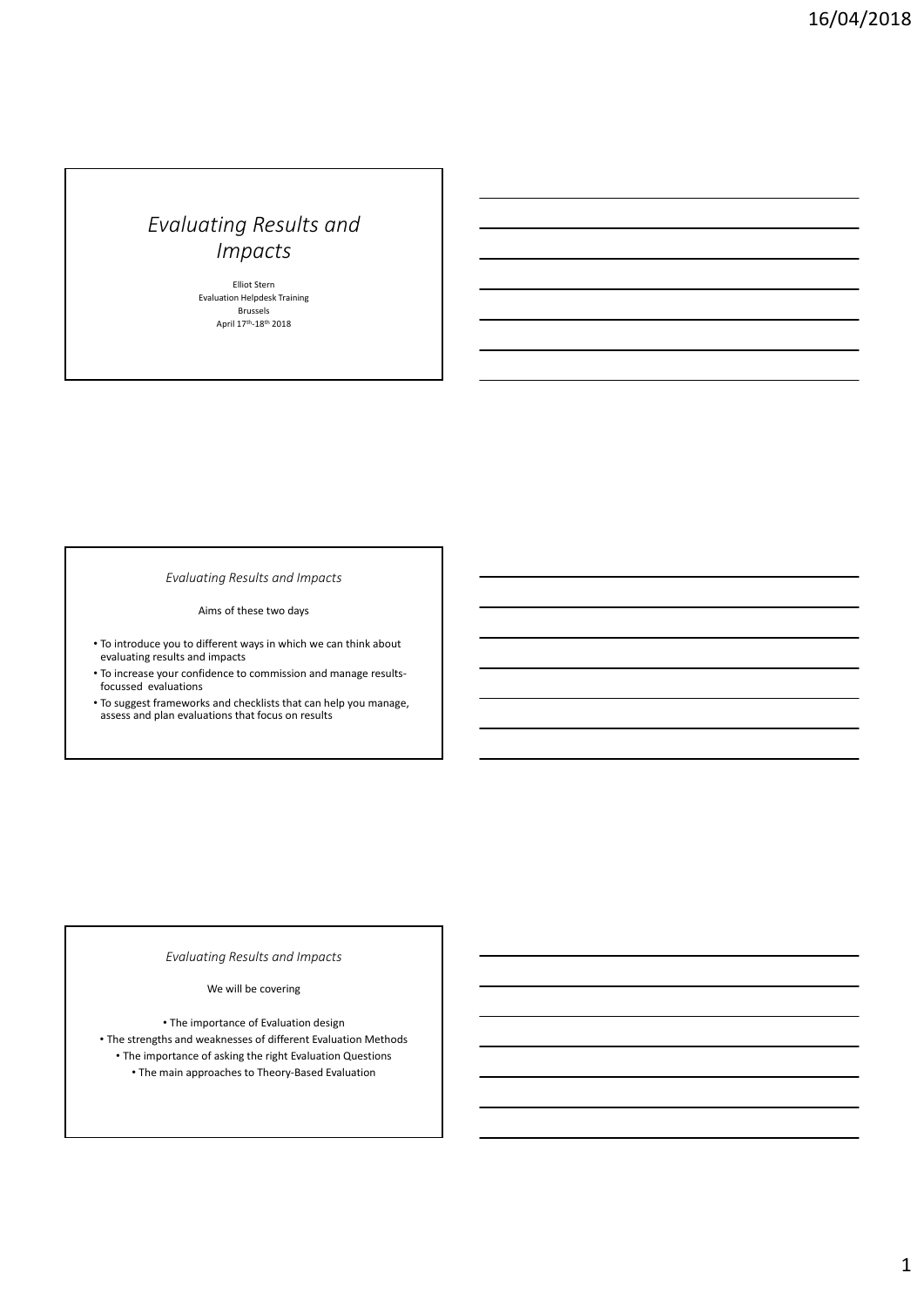Elliot Stern Evaluation Helpdesk Training Brussels April 17<sup>th</sup>-18<sup>th</sup> 2018

*Evaluating Results and Impacts*

Aims of these two days

- To introduce you to different ways in which we can think about evaluating results and impacts
- To increase your confidence to commission and manage results‐ focussed evaluations
- To suggest frameworks and checklists that can help you manage, assess and plan evaluations that focus on results

# *Evaluating Results and Impacts*

We will be covering

• The importance of Evaluation design • The strengths and weaknesses of different Evaluation Methods • The importance of asking the right Evaluation Questions • The main approaches to Theory‐Based Evaluation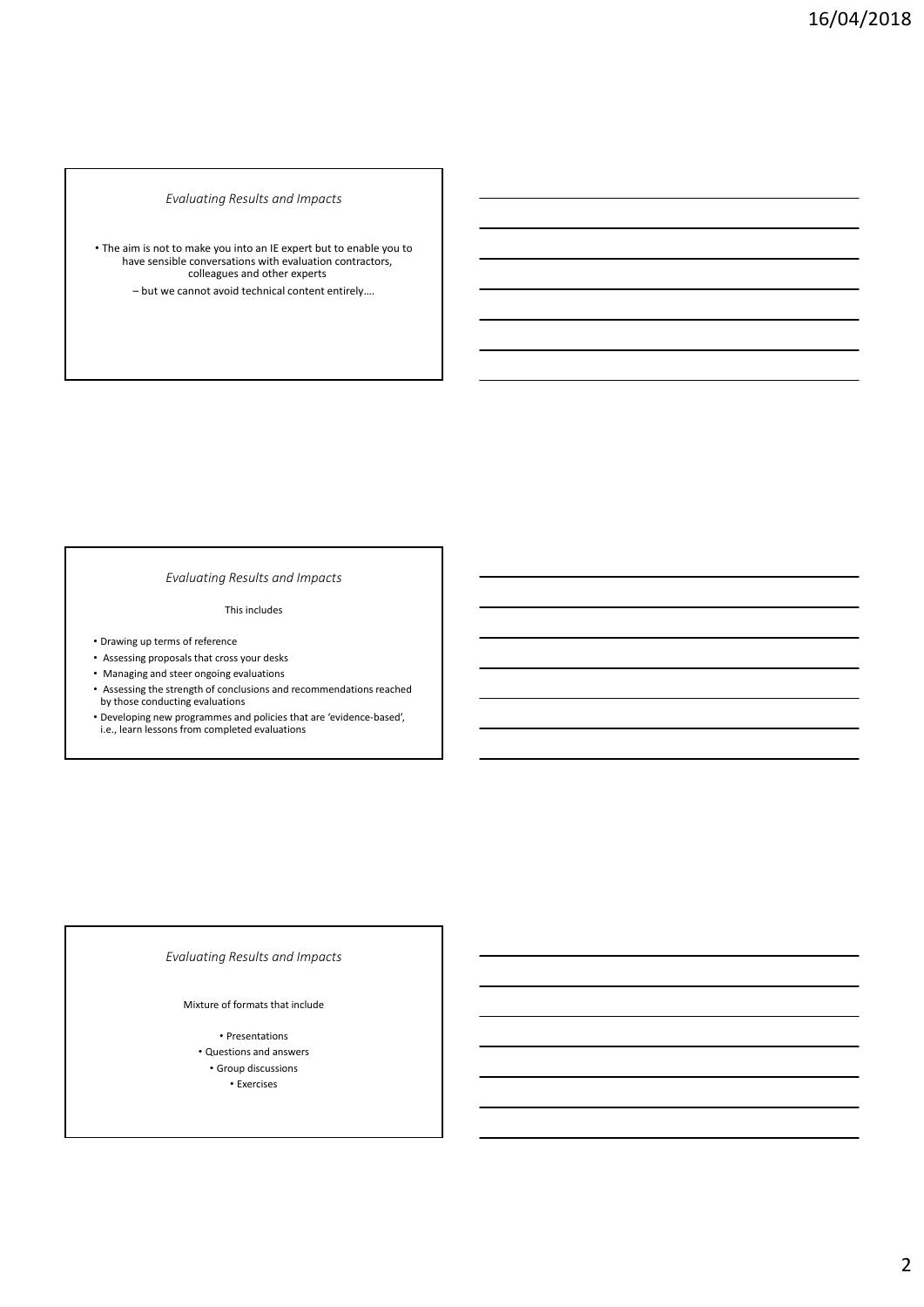• The aim is not to make you into an IE expert but to enable you to have sensible conversations with evaluation contractors, colleagues and other experts

– but we cannot avoid technical content entirely….

## *Evaluating Results and Impacts*

This includes

- Drawing up terms of reference
- Assessing proposals that cross your desks
- Managing and steer ongoing evaluations
- Assessing the strength of conclusions and recommendations reached by those conducting evaluations
- Developing new programmes and policies that are 'evidence‐based', i.e., learn lessons from completed evaluations

## *Evaluating Results and Impacts*

#### Mixture of formats that include

• Presentations • Questions and answers • Group discussions • Exercises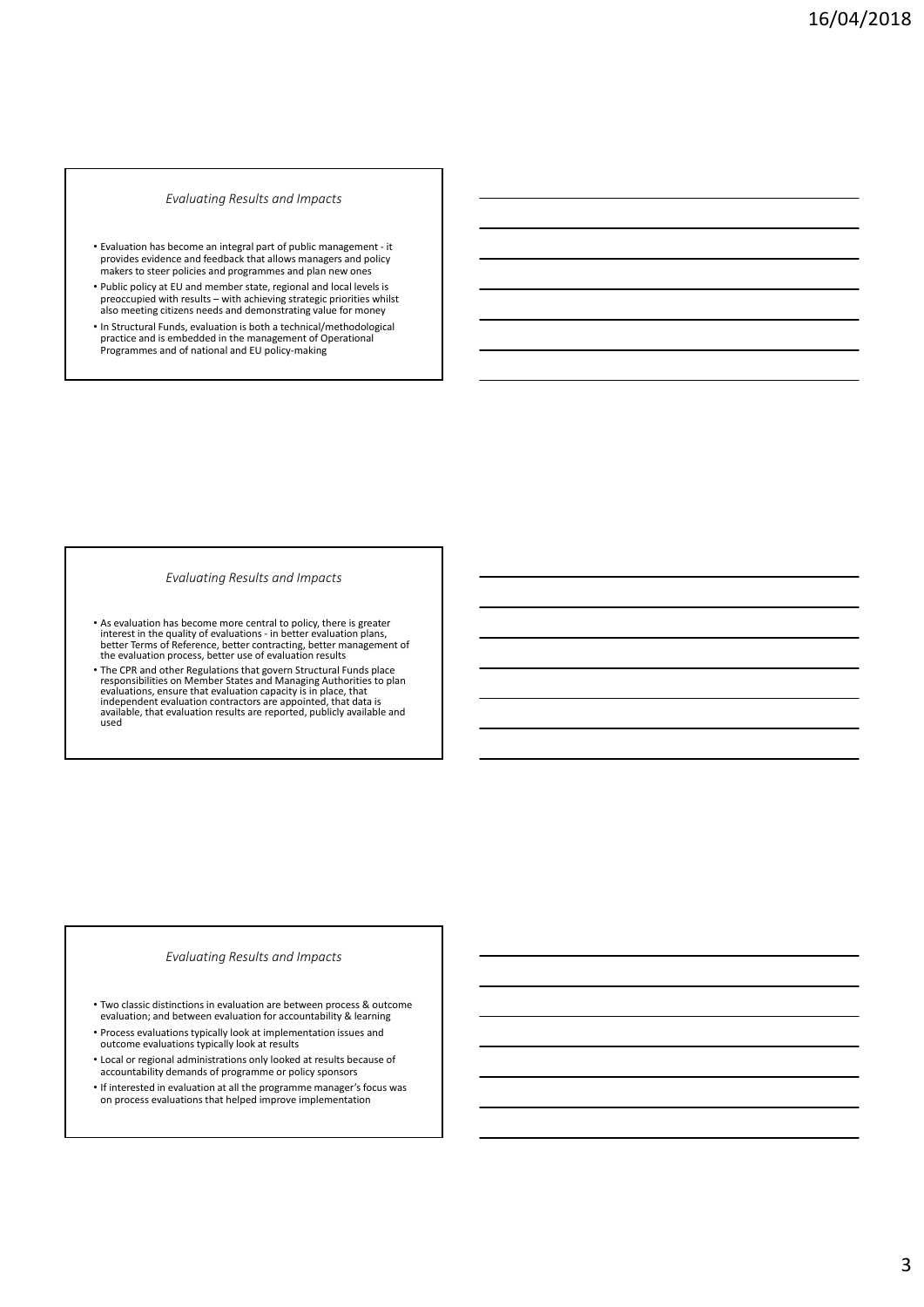- Evaluation has become an integral part of public management ‐ it provides evidence and feedback that allows managers and policy makers to steer policies and programmes and plan new ones
- Public policy at EU and member state, regional and local levels is preoccupied with results – with achieving strategic priorities whilst also meeting citizens needs and demonstrating value for money
- In Structural Funds, evaluation is both a technical/methodological practice and is embedded in the management of Operational Programmes and of national and EU policy‐making

#### *Evaluating Results and Impacts*

- As evaluation has become more central to policy, there is greater<br>interest in the quality of evaluations in better evaluation plans,<br>better Terms of Reference, better contracting, better management of<br>the evaluation pr
- The CPR and other Regulations that govern Structural Funds place<br>responsibilities on Member States and Managing Authorities to plan<br>evaluations, ensure that evaluation capacity is in place, that<br>independent evaluation co available, that evaluation results are reported, publicly available and used

## *Evaluating Results and Impacts*

- Two classic distinctions in evaluation are between process & outcome evaluation; and between evaluation for accountability & learning
- Process evaluations typically look at implementation issues and outcome evaluations typically look at results
- Local or regional administrations only looked at results because of accountability demands of programme or policy sponsors
- If interested in evaluation at all the programme manager's focus was on process evaluations that helped improve implementation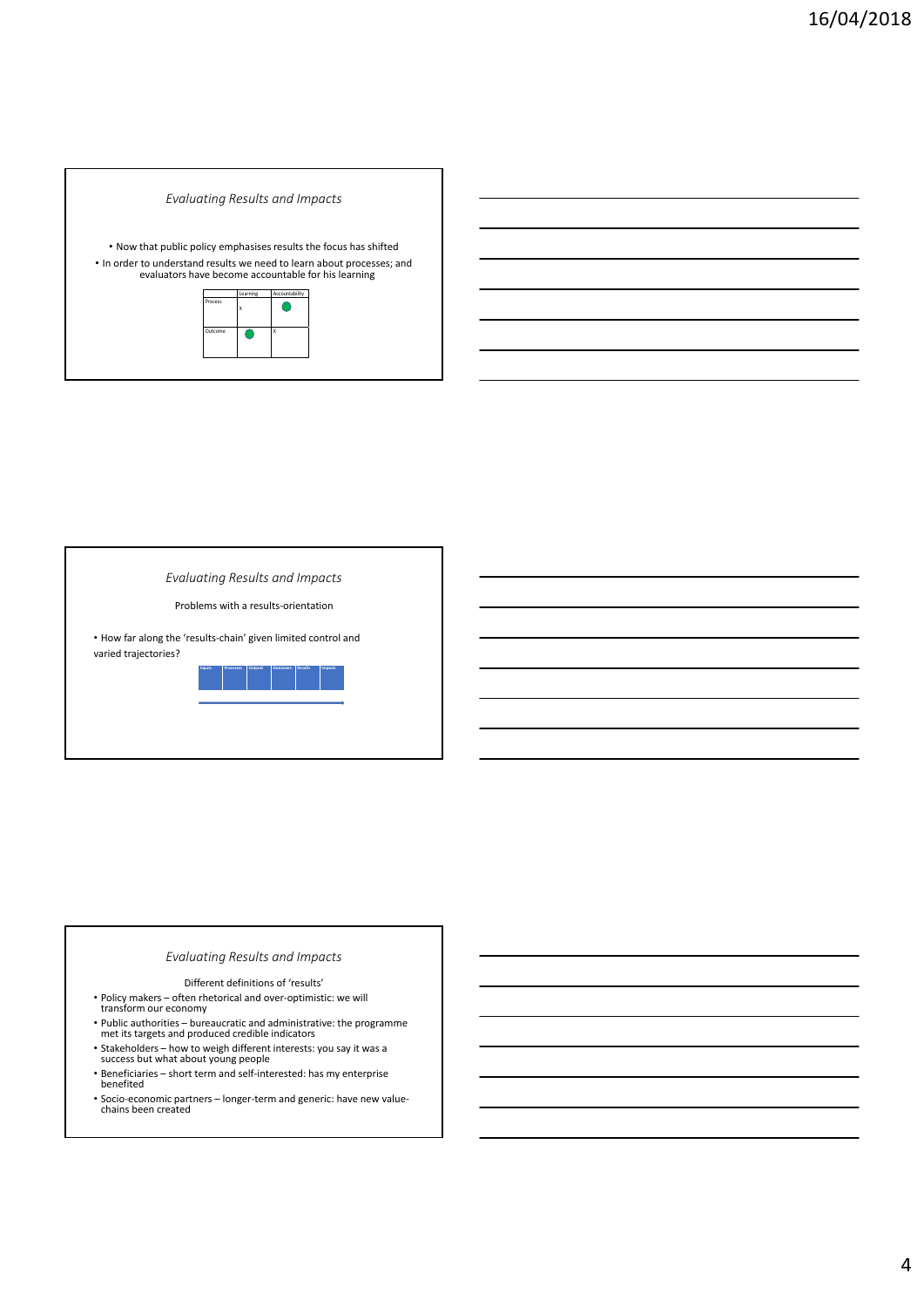

Problems with a results‐orientation

• How far along the 'results‐chain' given limited control and varied trajectories?



## *Evaluating Results and Impacts*

Different definitions of 'results'

- Policy makers often rhetorical and over‐optimistic: we will transform our economy
- Public authorities bureaucratic and administrative: the programme met its targets and produced credible indicators
- Stakeholders how to weigh different interests: you say it was <sup>a</sup> success but what about young people
- Beneficiaries short term and self‐interested: has my enterprise benefited
- Socio‐economic partners longer‐term and generic: have new value‐ chains been created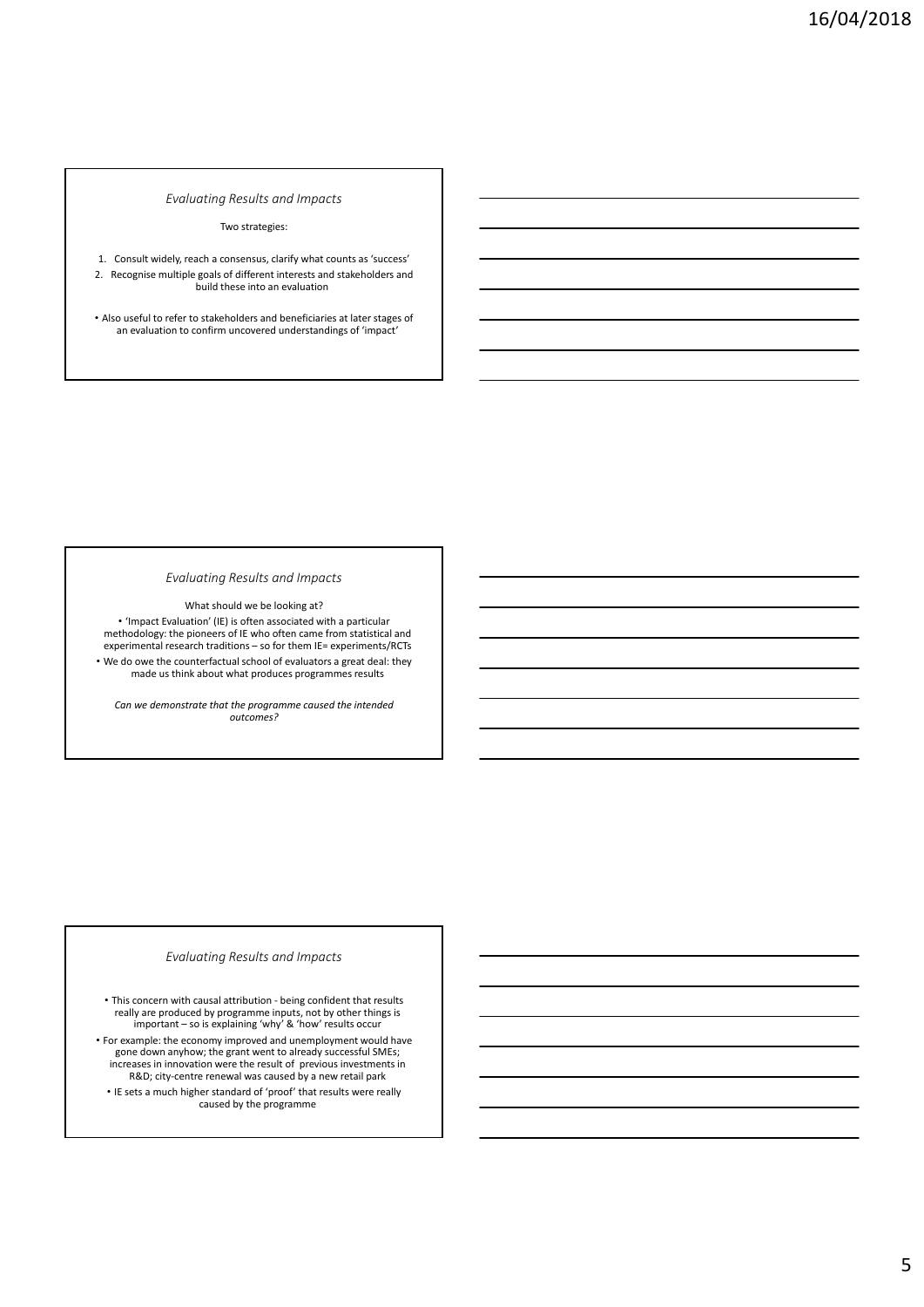#### Two strategies:

1. Consult widely, reach a consensus, clarify what counts as 'success' 2. Recognise multiple goals of different interests and stakeholders and build these into an evaluation

• Also useful to refer to stakeholders and beneficiaries at later stages of an evaluation to confirm uncovered understandings of 'impact'

#### *Evaluating Results and Impacts*

What should we be looking at?

• 'Impact Evaluation' (IE) is often associated with a particular methodology: the pioneers of IE who often came from statistical and experimental research traditions – so for them IE= experiments/RCTs • We do owe the counterfactual school of evaluators a great deal: they made us think about what produces programmes results

*Can we demonstrate that the programme caused the intended outcomes?*

## *Evaluating Results and Impacts*

• This concern with causal attribution ‐ being confident that results really are produced by programme inputs, not by other things is important – so is explaining 'why' & 'how' results occur

• For example: the economy improved and unemployment would have gone down anyhow; the grant went to already successful SMEs; increases in innovation were the result of previous investments in R&D; city-centre renewal was caused by a new retail park • IE sets a much higher standard of 'proof' that results were really caused by the programme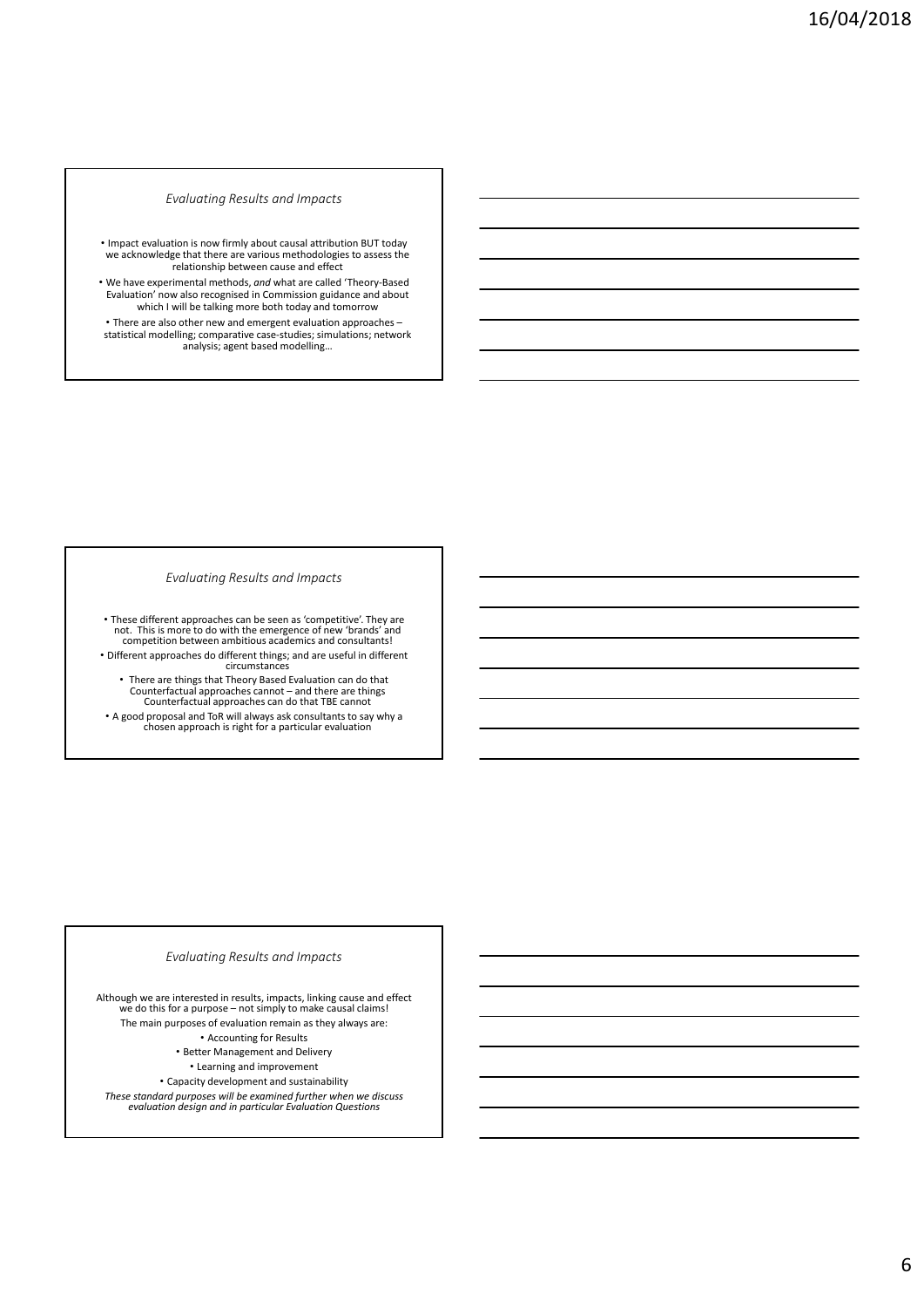• Impact evaluation is now firmly about causal attribution BUT today we acknowledge that there are various methodologies to assess the relationship between cause and effect

• We have experimental methods, *and* what are called 'Theory‐Based Evaluation' now also recognised in Commission guidance and about which I will be talking more both today and tomorrow • There are also other new and emergent evaluation approaches – statistical modelling; comparative case‐studies; simulations; network analysis; agent based modelling…

#### *Evaluating Results and Impacts*

• These different approaches can be seen as 'competitive'. They are not. This is more to do with the emergence of new 'brands' and consultants!<br>competition between ambitious academics and consultants! • Different approaches do different things; and are useful in different circumstances

• There are things that Theory Based Evaluation can do that Counterfactual approaches cannot – and there are things Counterfactual approaches can do that TBE cannot • <sup>A</sup> good proposal and ToR will always ask consultants to say why <sup>a</sup> chosen approach is right for <sup>a</sup> particular evaluation

## *Evaluating Results and Impacts*

Although we are interested in results, impacts, linking cause and effect we do this for <sup>a</sup> purpose – not simply to make causal claims! The main purposes of evaluation remain as they always are: • Accounting for Results • Better Management and Delivery • Learning and improvement • Capacity development and sustainability These standard purposes will be examined further when we discuss<br>evaluation design and in particular Evaluation Questions